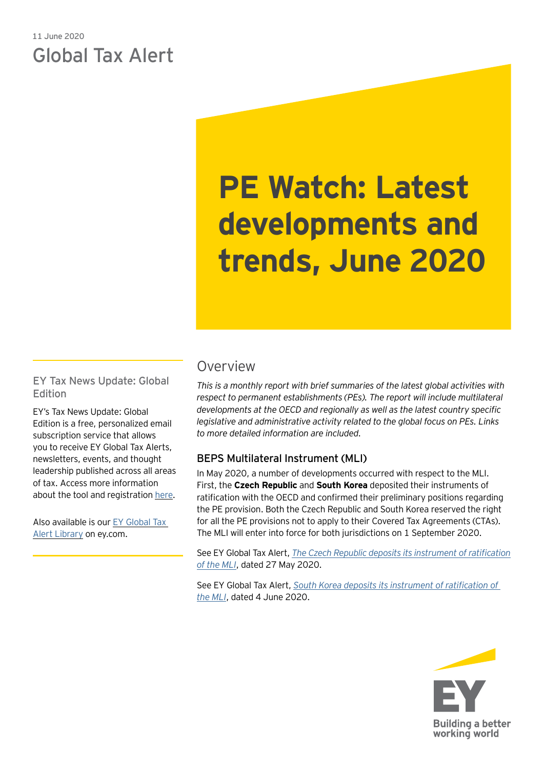# 11 June 2020 Global Tax Alert

# **PE Watch: Latest developments and trends, June 2020**

EY Tax News Update: Global Edition

EY's Tax News Update: Global Edition is a free, personalized email subscription service that allows you to receive EY Global Tax Alerts, newsletters, events, and thought leadership published across all areas of tax. Access more information about the tool and registration [here.](https://www.ey.com/gl/en/services/tax/sign-up-for-ey-tax-news-update-global-edition)

Also available is our [EY Global Tax](https://www.ey.com/gl/en/services/tax/international-tax/tax-alert-library)  [Alert Library](https://www.ey.com/gl/en/services/tax/international-tax/tax-alert-library) on ey.com.

## Overview

*This is a monthly report with brief summaries of the latest global activities with respect to permanent establishments (PEs). The report will include multilateral developments at the OECD and regionally as well as the latest country specific legislative and administrative activity related to the global focus on PEs. Links to more detailed information are included.*

## BEPS Multilateral Instrument (MLI)

In May 2020, a number of developments occurred with respect to the MLI. First, the **Czech Republic** and **South Korea** deposited their instruments of ratification with the OECD and confirmed their preliminary positions regarding the PE provision. Both the Czech Republic and South Korea reserved the right for all the PE provisions not to apply to their Covered Tax Agreements (CTAs). The MLI will enter into force for both jurisdictions on 1 September 2020.

See EY Global Tax Alert, *[The Czech Republic deposits its instrument of ratification](https://taxnews.ey.com/news/2020-1389-the-czech-republic-deposits-its-instrument-of-ratification-of-the-mli) [of the MLI](https://taxnews.ey.com/news/2020-1389-the-czech-republic-deposits-its-instrument-of-ratification-of-the-mli)*, dated 27 May 2020.

See EY Global Tax Alert, *[South Korea deposits its instrument of ratification of](https://globaltaxnews.ey.com/news/2020-5830-south-korea-deposits-its-instrument-of-ratification-of-the-mli)  [the MLI](https://globaltaxnews.ey.com/news/2020-5830-south-korea-deposits-its-instrument-of-ratification-of-the-mli)*, dated 4 June 2020.

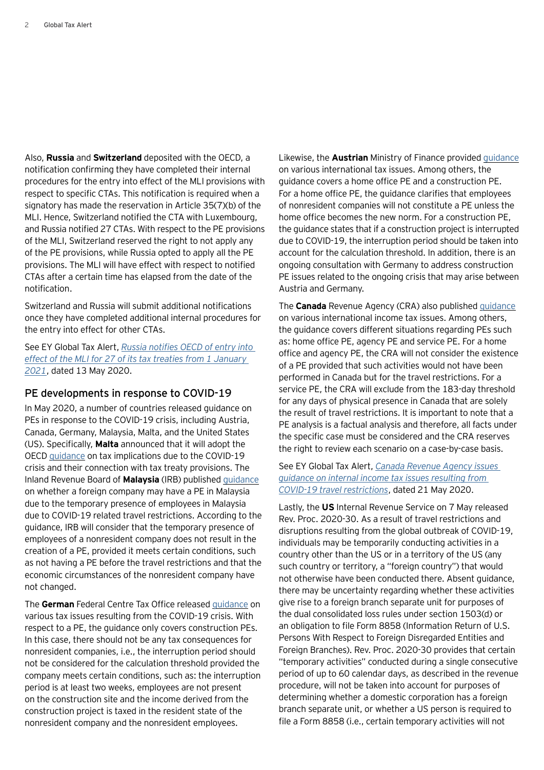Also, **Russia** and **Switzerland** deposited with the OECD, a notification confirming they have completed their internal procedures for the entry into effect of the MLI provisions with respect to specific CTAs. This notification is required when a signatory has made the reservation in Article 35(7)(b) of the MLI. Hence, Switzerland notified the CTA with Luxembourg, and Russia notified 27 CTAs. With respect to the PE provisions of the MLI, Switzerland reserved the right to not apply any of the PE provisions, while Russia opted to apply all the PE provisions. The MLI will have effect with respect to notified CTAs after a certain time has elapsed from the date of the notification.

Switzerland and Russia will submit additional notifications once they have completed additional internal procedures for the entry into effect for other CTAs.

See EY Global Tax Alert, *[Russia notifies OECD of entry into](https://globaltaxnews.ey.com/news/2020-5717-russia-notifies-oecd-of-entry-into-effect-of-the-mli-for-27-of-its-tax-treaties-from-1-january-2021)  [effect of the MLI for 27 of its tax treaties from 1](https://globaltaxnews.ey.com/news/2020-5717-russia-notifies-oecd-of-entry-into-effect-of-the-mli-for-27-of-its-tax-treaties-from-1-january-2021) January [2021](https://globaltaxnews.ey.com/news/2020-5717-russia-notifies-oecd-of-entry-into-effect-of-the-mli-for-27-of-its-tax-treaties-from-1-january-2021)*, dated 13 May 2020.

#### PE developments in response to COVID-19

In May 2020, a number of countries released guidance on PEs in response to the COVID-19 crisis, including Austria, Canada, Germany, Malaysia, Malta, and the United States (US). Specifically, **Malta** announced that it will adopt the OECD [guidance](https://read.oecd-ilibrary.org/view/?ref=127_127237-vsdagpp2t3&title=OECD-Secretariat-analysis-of-tax-treaties-and-the-impact-of-the-COVID-19-Crisis) on tax implications due to the COVID-19 crisis and their connection with tax treaty provisions. The Inland Revenue Board of **Malaysia** (IRB) published [guidance](http://lampiran1.hasil.gov.my/pdf/pdfam/FAQ_on_International_Tax_Issues.pdf) on whether a foreign company may have a PE in Malaysia due to the temporary presence of employees in Malaysia due to COVID-19 related travel restrictions. According to the guidance, IRB will consider that the temporary presence of employees of a nonresident company does not result in the creation of a PE, provided it meets certain conditions, such as not having a PE before the travel restrictions and that the economic circumstances of the nonresident company have not changed.

The **German** Federal Centre Tax Office released [guidance](https://www.bundesfinanzministerium.de/Content/DE/Standardartikel/Themen/Steuern/2020-04-01-FAQ_Corona_Steuern.html?cms_pk_kwd=06.04.2020_FAQ+Corona+Steuern+&cms_pk_campaign=Newsletter-06.04.2020) on various tax issues resulting from the COVID-19 crisis. With respect to a PE, the guidance only covers construction PEs. In this case, there should not be any tax consequences for nonresident companies, i.e., the interruption period should not be considered for the calculation threshold provided the company meets certain conditions, such as: the interruption period is at least two weeks, employees are not present on the construction site and the income derived from the construction project is taxed in the resident state of the nonresident company and the nonresident employees.

Likewise, the **Austrian** Ministry of Finance provided [guidance](https://findok.bmf.gv.at/findok?execution=e100000s1&dokumentId=8f797da3-1810-4634-9d33-ad287007a36b) on various international tax issues. Among others, the guidance covers a home office PE and a construction PE. For a home office PE, the guidance clarifies that employees of nonresident companies will not constitute a PE unless the home office becomes the new norm. For a construction PE, the guidance states that if a construction project is interrupted due to COVID-19, the interruption period should be taken into account for the calculation threshold. In addition, there is an ongoing consultation with Germany to address construction PE issues related to the ongoing crisis that may arise between Austria and Germany.

The **Canada** Revenue Agency (CRA) also published [guidance](https://www.canada.ca/en/revenue-agency/campaigns/covid-19-update/guidance-international-income-tax-issues.html) on various international income tax issues. Among others, the guidance covers different situations regarding PEs such as: home office PE, agency PE and service PE. For a home office and agency PE, the CRA will not consider the existence of a PE provided that such activities would not have been performed in Canada but for the travel restrictions. For a service PE, the CRA will exclude from the 183-day threshold for any days of physical presence in Canada that are solely the result of travel restrictions. It is important to note that a PE analysis is a factual analysis and therefore, all facts under the specific case must be considered and the CRA reserves the right to review each scenario on a case-by-case basis.

See EY Global Tax Alert, *[Canada Revenue Agency issues](https://globaltaxnews.ey.com/news/2020-5761-canada-revenue-agency-issues-guidance-on-international-income-tax-issues-resulting-from-covid-19-travel-restrictions)  [guidance on internal income tax issues resulting from](https://globaltaxnews.ey.com/news/2020-5761-canada-revenue-agency-issues-guidance-on-international-income-tax-issues-resulting-from-covid-19-travel-restrictions)  [COVID-19 travel restrictions](https://globaltaxnews.ey.com/news/2020-5761-canada-revenue-agency-issues-guidance-on-international-income-tax-issues-resulting-from-covid-19-travel-restrictions)*, dated 21 May 2020.

Lastly, the **US** Internal Revenue Service on 7 May released Rev. Proc. 2020-30. As a result of travel restrictions and disruptions resulting from the global outbreak of COVID-19, individuals may be temporarily conducting activities in a country other than the US or in a territory of the US (any such country or territory, a "foreign country") that would not otherwise have been conducted there. Absent guidance, there may be uncertainty regarding whether these activities give rise to a foreign branch separate unit for purposes of the dual consolidated loss rules under section 1503(d) or an obligation to file Form 8858 (Information Return of U.S. Persons With Respect to Foreign Disregarded Entities and Foreign Branches). Rev. Proc. 2020-30 provides that certain "temporary activities" conducted during a single consecutive period of up to 60 calendar days, as described in the revenue procedure, will not be taken into account for purposes of determining whether a domestic corporation has a foreign branch separate unit, or whether a US person is required to file a Form 8858 (i.e., certain temporary activities will not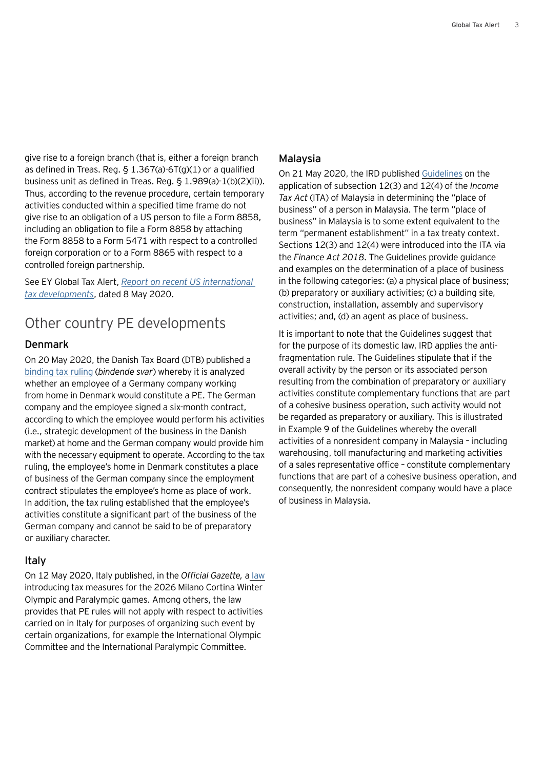give rise to a foreign branch (that is, either a foreign branch as defined in Treas. Reg.  $\S$  1.367(a)-6T(g)(1) or a qualified business unit as defined in Treas. Reg. § 1.989(a)-1(b)(2)(ii)). Thus, according to the revenue procedure, certain temporary activities conducted within a specified time frame do not give rise to an obligation of a US person to file a Form 8858, including an obligation to file a Form 8858 by attaching the Form 8858 to a Form 5471 with respect to a controlled foreign corporation or to a Form 8865 with respect to a controlled foreign partnership.

See EY Global Tax Alert, *[Report on recent US international](https://globaltaxnews.ey.com/news/2020-5702-report-on-recent-us-international-tax-developments-8-may-2020)  [tax developments](https://globaltaxnews.ey.com/news/2020-5702-report-on-recent-us-international-tax-developments-8-may-2020)*, dated 8 May 2020.

## Other country PE developments

## Denmark

On 20 May 2020, the Danish Tax Board (DTB) published a [binding tax ruling](https://www.skat.dk/skat.aspx?oid=2296045) (*bindende svar*) whereby it is analyzed whether an employee of a Germany company working from home in Denmark would constitute a PE. The German company and the employee signed a six-month contract, according to which the employee would perform his activities (i.e., strategic development of the business in the Danish market) at home and the German company would provide him with the necessary equipment to operate. According to the tax ruling, the employee's home in Denmark constitutes a place of business of the German company since the employment contract stipulates the employee's home as place of work. In addition, the tax ruling established that the employee's activities constitute a significant part of the business of the German company and cannot be said to be of preparatory or auxiliary character.

## Italy

On 12 May 2020, Italy published, in the *Official Gazette,* a [law](https://www.gazzettaufficiale.it/eli/gu/2020/05/12/121/sg/pdf) introducing tax measures for the 2026 Milano Cortina Winter Olympic and Paralympic games. Among others, the law provides that PE rules will not apply with respect to activities carried on in Italy for purposes of organizing such event by certain organizations, for example the International Olympic Committee and the International Paralympic Committee.

#### Malaysia

On 21 May 2020, the IRD published [Guidelines](http://lampiran1.hasil.gov.my/pdf/pdfam/GP_21052020_2.pdf) on the application of subsection 12(3) and 12(4) of the *Income Tax Act* (ITA) of Malaysia in determining the ''place of business'' of a person in Malaysia. The term ''place of business'' in Malaysia is to some extent equivalent to the term "permanent establishment" in a tax treaty context. Sections 12(3) and 12(4) were introduced into the ITA via the *Finance Act 2018*. The Guidelines provide guidance and examples on the determination of a place of business in the following categories: (a) a physical place of business; (b) preparatory or auxiliary activities; (c) a building site, construction, installation, assembly and supervisory activities; and, (d) an agent as place of business.

It is important to note that the Guidelines suggest that for the purpose of its domestic law, IRD applies the antifragmentation rule. The Guidelines stipulate that if the overall activity by the person or its associated person resulting from the combination of preparatory or auxiliary activities constitute complementary functions that are part of a cohesive business operation, such activity would not be regarded as preparatory or auxiliary. This is illustrated in Example 9 of the Guidelines whereby the overall activities of a nonresident company in Malaysia – including warehousing, toll manufacturing and marketing activities of a sales representative office – constitute complementary functions that are part of a cohesive business operation, and consequently, the nonresident company would have a place of business in Malaysia.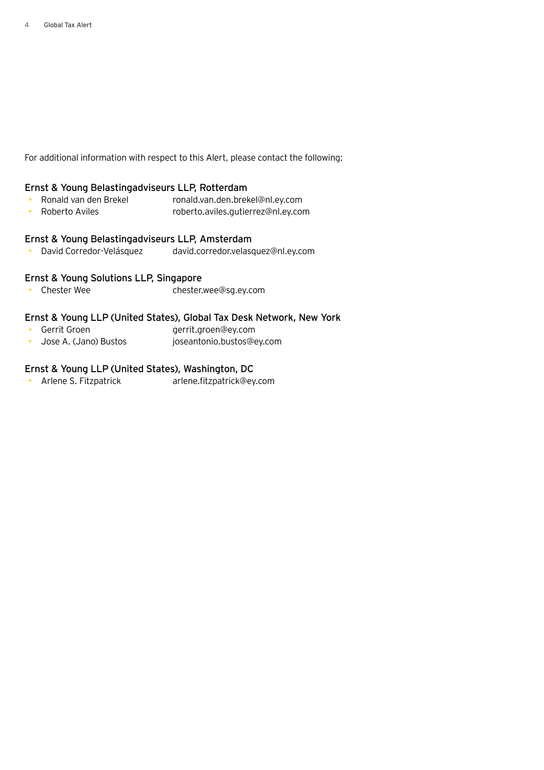For additional information with respect to this Alert, please contact the following:

#### Ernst & Young Belastingadviseurs LLP, Rotterdam

- Ronald van den Brekel ronald.van.den.brekel@nl.ey.com
- Roberto Aviles roberto.aviles.gutierrez@nl.ey.com

## Ernst & Young Belastingadviseurs LLP, Amsterdam

• David Corredor-Velásquez david.corredor.velasquez@nl.ey.com

## Ernst & Young Solutions LLP, Singapore

• Chester Wee chester.wee@sg.ey.com

#### Ernst & Young LLP (United States), Global Tax Desk Network, New York

- Gerrit Groen gerrit.groen@ey.com
- Jose A. (Jano) Bustos joseantonio.bustos@ey.com

## Ernst & Young LLP (United States), Washington, DC

• Arlene S. Fitzpatrick arlene.fitzpatrick@ey.com